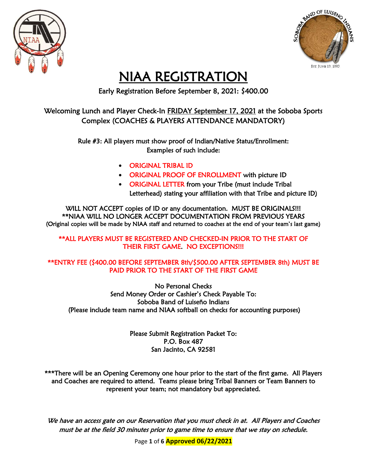



## NIAA REGISTRATION

Early Registration Before September 8, 2021: \$400.00

#### Welcoming Lunch and Player Check-In FRIDAY September 17, 2021 at the Soboba Sports Complex (COACHES & PLAYERS ATTENDANCE MANDATORY)

Rule #3: All players must show proof of Indian/Native Status/Enrollment: Examples of such include:

- ORIGINAL TRIBAL ID
- ORIGINAL PROOF OF ENROLLMENT with picture ID
- ORIGINAL LETTER from your Tribe (must include Tribal Letterhead) stating your affiliation with that Tribe and picture ID)

WILL NOT ACCEPT copies of ID or any documentation. MUST BE ORIGINALS!!! \*\*NIAA WILL NO LONGER ACCEPT DOCUMENTATION FROM PREVIOUS YEARS (Original copies will be made by NIAA staff and returned to coaches at the end of your team's last game)

\*\*ALL PLAYERS MUST BE REGISTERED AND CHECKED-IN PRIOR TO THE START OF THEIR FIRST GAME. NO EXCEPTIONS!!!

#### \*\*ENTRY FEE (\$400.00 BEFORE SEPTEMBER 8th/\$500.00 AFTER SEPTEMBER 8th) MUST BE PAID PRIOR TO THE START OF THE FIRST GAME

No Personal Checks Send Money Order or Cashier's Check Payable To: Soboba Band of Luiseño Indians (Please include team name and NIAA softball on checks for accounting purposes)

> Please Submit Registration Packet To: P.O. Box 487 San Jacinto, CA 92581

\*\*\*There will be an Opening Ceremony one hour prior to the start of the first game. All Players and Coaches are required to attend. Teams please bring Tribal Banners or Team Banners to represent your team; not mandatory but appreciated.

We have an access gate on our Reservation that you must check in at. All Players and Coaches must be at the field 30 minutes prior to game time to ensure that we stay on schedule.

Page **1** of **6 Approved 06/22/2021**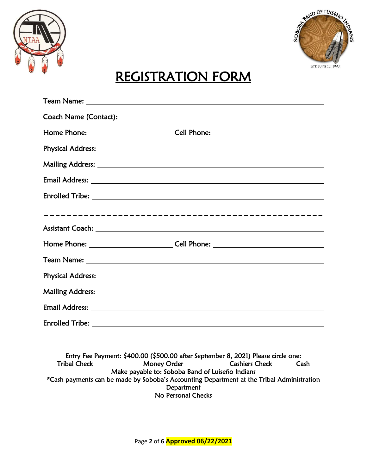



# REGISTRATION FORM

| Email Address: No. 2008. The Second Second Second Second Second Second Second Second Second Second Second Second Second Second Second Second Second Second Second Second Second Second Second Second Second Second Second Seco |  |
|--------------------------------------------------------------------------------------------------------------------------------------------------------------------------------------------------------------------------------|--|
|                                                                                                                                                                                                                                |  |

Entry Fee Payment: \$400.00 (\$500.00 after September 8, 2021) Please circle one: Tribal Check Money Order Cashiers Check Cash Make payable to: Soboba Band of Luiseño Indians \*Cash payments can be made by Soboba's Accounting Department at the Tribal Administration **Department** No Personal Checks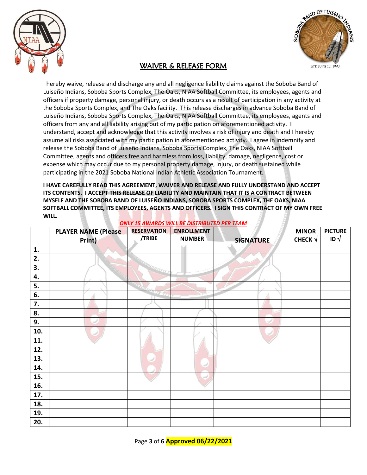



#### WAIVER & RELEASE FORM

I hereby waive, release and discharge any and all negligence liability claims against the Soboba Band of Luiseño Indians, Soboba Sports Complex, The Oaks, NIAA Softball Committee, its employees, agents and officers if property damage, personal injury, or death occurs as a result of participation in any activity at the Soboba Sports Complex, and The Oaks facility. This release discharges in advance Soboba Band of Luiseño Indians, Soboba Sports Complex, The Oaks, NIAA Softball Committee, its employees, agents and officers from any and all liability arising out of my participation on aforementioned activity. I understand, accept and acknowledge that this activity involves a risk of injury and death and I hereby assume all risks associated with my participation in aforementioned activity. I agree in indemnify and release the Soboba Band of Luiseño Indians, Soboba Sports Complex, The Oaks, NIAA Softball Committee, agents and officers free and harmless from loss, liability, damage, negligence, cost or expense which may occur due to my personal property damage, injury, or death sustained while participating in the 2021 Soboba National Indian Athletic Association Tournament.

**I HAVE CAREFULLY READ THIS AGREEMENT, WAIVER AND RELEASE AND FULLY UNDERSTAND AND ACCEPT ITS CONTENTS. I ACCEPT THIS RELEASE OF LIABILITY AND MAINTAIN THAT IT IS A CONTRACT BETWEEN MYSELF AND THE SOBOBA BAND OF LUISEÑO INDIANS, SOBOBA SPORTS COMPLEX, THE OAKS, NIAA SOFTBALL COMMITTEE, ITS EMPLOYEES, AGENTS AND OFFICERS. I SIGN THIS CONTRACT OF MY OWN FREE WILL.**

|     | <b>PLAYER NAME (Please</b><br>Print) | <b>RESERVATION</b><br>/TRIBE | <b>ENROLLMENT</b><br><b>NUMBER</b> | <b>SIGNATURE</b> | <b>MINOR</b><br>CHECK $\sqrt{}$ | <b>PICTURE</b><br>ID $\sqrt{ }$ |
|-----|--------------------------------------|------------------------------|------------------------------------|------------------|---------------------------------|---------------------------------|
| 1.  |                                      |                              |                                    |                  |                                 |                                 |
| 2.  |                                      |                              |                                    |                  |                                 |                                 |
| 3.  |                                      |                              |                                    |                  |                                 |                                 |
| 4.  |                                      |                              |                                    |                  |                                 |                                 |
| 5.  |                                      |                              |                                    |                  |                                 |                                 |
| 6.  |                                      | 18-5                         |                                    |                  |                                 |                                 |
| 7.  |                                      |                              |                                    |                  |                                 |                                 |
| 8.  |                                      |                              |                                    |                  |                                 |                                 |
| 9.  |                                      |                              |                                    |                  |                                 |                                 |
| 10. |                                      |                              |                                    |                  |                                 |                                 |
| 11. |                                      |                              |                                    |                  |                                 |                                 |
| 12. |                                      |                              |                                    |                  |                                 |                                 |
| 13. |                                      |                              |                                    |                  |                                 |                                 |
| 14. |                                      |                              |                                    |                  |                                 |                                 |
| 15. |                                      |                              | sail a                             |                  |                                 |                                 |
| 16. |                                      |                              |                                    |                  |                                 |                                 |
| 17. |                                      |                              |                                    |                  |                                 |                                 |
| 18. |                                      |                              |                                    |                  |                                 |                                 |
| 19. |                                      |                              |                                    |                  |                                 |                                 |
| 20. |                                      |                              |                                    |                  |                                 |                                 |

*ONLY 15 AWARDS WILL BE DISTRIBUTED PER TEAM*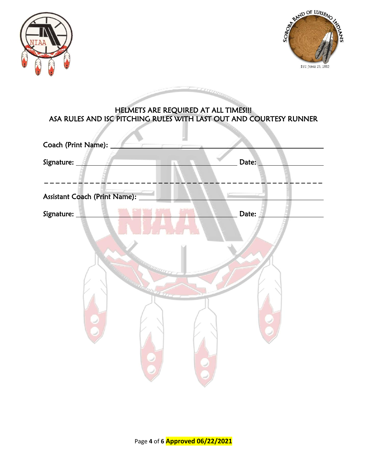



#### HELMETS ARE REQUIRED AT ALL TIMES!!! ASA RULES AND ISC PITCHING RULES WITH LAST OUT AND COURTESY RUNNER

I

**CERETARIA** 

| Coach (Print Name):           |       |
|-------------------------------|-------|
| Signature:                    | Date: |
|                               |       |
| Assistant Coach (Print Name): |       |
| Signature:                    | Date: |
|                               |       |
|                               |       |
|                               |       |
| ammana artista estas          |       |
|                               |       |
|                               |       |
|                               |       |
|                               |       |
|                               |       |
|                               |       |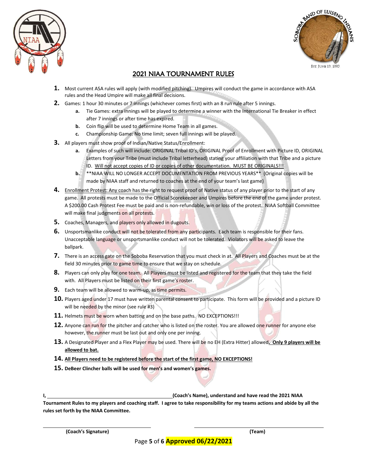



#### 2021 NIAA TOURNAMENT RULES

- **1.** Most current ASA rules will apply (with modified pitching). Umpires will conduct the game in accordance with ASA rules and the Head Umpire will make all final decisions.
- **2.** Games: 1 hour 30 minutes or 7 innings (whichever comes first) with an 8 run rule after 5 innings.
	- **a.** Tie Games: extra innings will be played to determine a winner with the International Tie Breaker in effect after 7 innings or after time has expired.
	- **b.** Coin flip will be used to determine Home Team in all games.
	- **c.** Championship Game: No time limit; seven full innings will be played.
- **3.** All players must show proof of Indian/Native Status/Enrollment:
	- **a.** Examples of such will include: ORIGINAL Tribal ID's, ORIGINAL Proof of Enrollment with Picture ID, ORIGINAL Letters from your Tribe (must include Tribal letterhead) stating your affiliation with that Tribe and a picture ID. Will not accept copies of ID or copies of other documentation. MUST BE ORIGINALS!!!
	- **b.** \*\*NIAA WILL NO LONGER ACCEPT DOCUMENTATION FROM PREVIOUS YEARS\*\* (Original copies will be made by NIAA staff and returned to coaches at the end of your team's last game)
- **4.** Enrollment Protest: Any coach has the right to request proof of Native status of any player prior to the start of any game. All protests must be made to the Official Scorekeeper and Umpires before the end of the game under protest. A \$200.00 Cash Protest Fee must be paid and is non-refundable, win or loss of the protest. NIAA Softball Committee will make final judgments on all protests.
- **5.** Coaches, Managers, and players only allowed in dugouts.
- **6.** Unsportsmanlike conduct will not be tolerated from any participants. Each team is responsible for their fans. Unacceptable language or unsportsmanlike conduct will not be tolerated. Violators will be asked to leave the ballpark.
- **7.** There is an access gate on the Soboba Reservation that you must check in at. All Players and Coaches must be at the field 30 minutes prior to game time to ensure that we stay on schedule.
- **8.** Players can only play for one team. All Players must be listed and registered for the team that they take the field with. All Players must be listed on their first game's roster.
- **9.** Each team will be allowed to warm-up, as time permits.
- **10.** Players aged under 17 must have written parental consent to participate. This form will be provided and a picture ID will be needed by the minor (see rule #3)
- 11. Helmets must be worn when batting and on the base paths. NO EXCEPTIONS!!!
- **12.** Anyone can run for the pitcher and catcher who is listed on the roster. You are allowed one runner for anyone else however, the runner must be last out and only one per inning.
- **13.** A Designated Player and a Flex Player may be used. There will be no EH (Extra Hitter) allowed**. Only 9 players will be allowed to bat.**
- **14. All Players need to be registered before the start of the first game, NO EXCEPTIONS!**
- **15. DeBeer Clincher balls will be used for men's and women's games.**

**I, (Coach's Name), understand and have read the 2021 NIAA** 

**Tournament Rules to my players and coaching staff. I agree to take responsibility for my teams actions and abide by all the rules set forth by the NIAA Committee.**